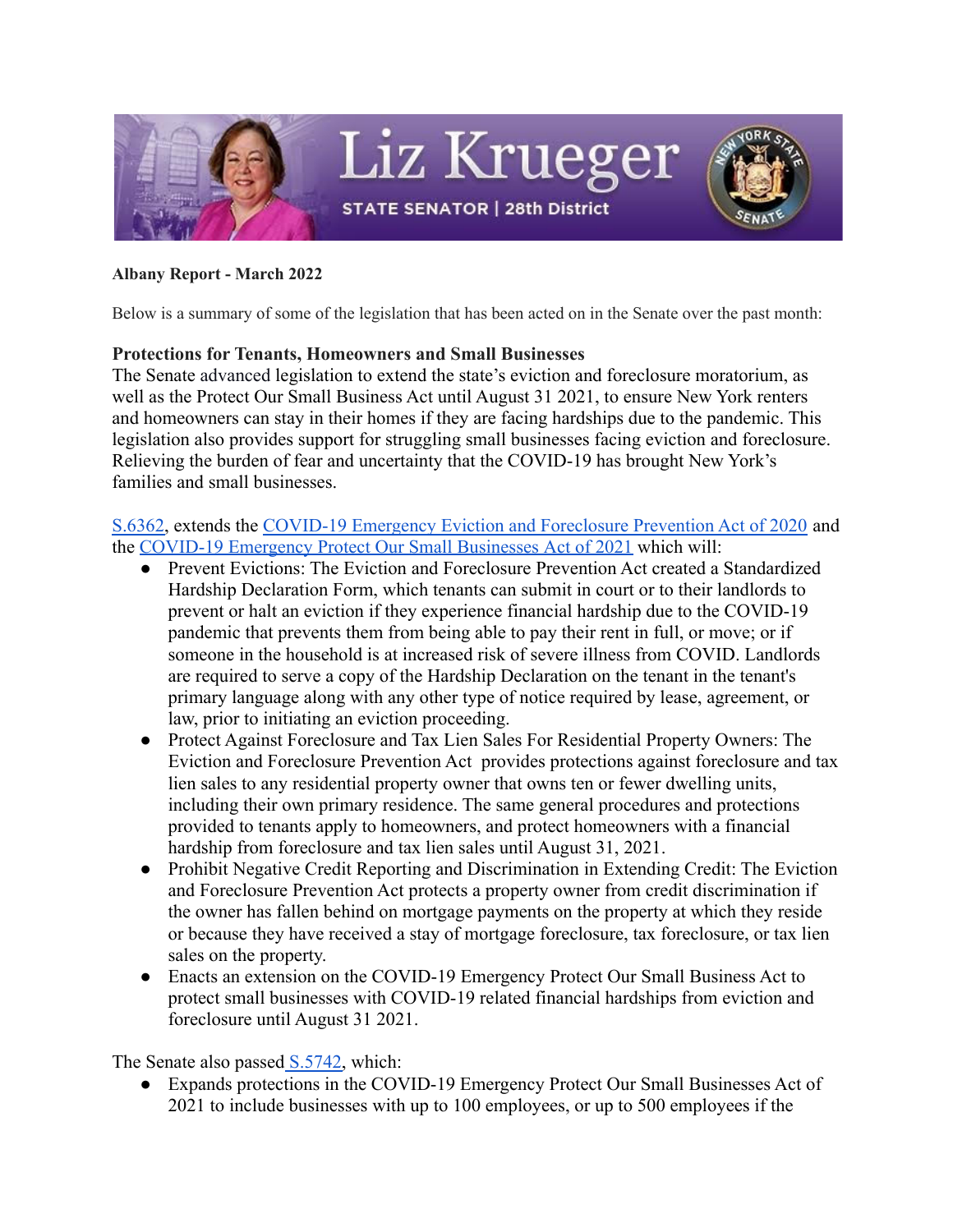

### **Albany Report - March 2022**

Below is a summary of some of the legislation that has been acted on in the Senate over the past month:

#### **Protections for Tenants, Homeowners and Small Businesses**

The Senate advanced legislation to extend the state's eviction and foreclosure moratorium, as well as the Protect Our Small Business Act until August 31 2021, to ensure New York renters and homeowners can stay in their homes if they are facing hardships due to the pandemic. This legislation also provides support for struggling small businesses facing eviction and foreclosure. Relieving the burden of fear and uncertainty that the COVID-19 has brought New York's families and small businesses.

[S.6362,](https://www.nysenate.gov/legislation/bills/2021/s6362) extends the [COVID-19 Emergency Eviction and](https://www.nysenate.gov/newsroom/press-releases/senate-will-pass-strongest-eviction-moratorium-nation) Foreclosure Prevention Act of 2020 and the [COVID-19 Emergency Protect Our Small Businesses](https://www.nysenate.gov/newsroom/press-releases/brian-kavanagh/senate-majority-helps-small-businesses-build-back-covid-19) Act of 2021 which will:

- Prevent Evictions: The Eviction and Foreclosure Prevention Act created a Standardized Hardship Declaration Form, which tenants can submit in court or to their landlords to prevent or halt an eviction if they experience financial hardship due to the COVID-19 pandemic that prevents them from being able to pay their rent in full, or move; or if someone in the household is at increased risk of severe illness from COVID. Landlords are required to serve a copy of the Hardship Declaration on the tenant in the tenant's primary language along with any other type of notice required by lease, agreement, or law, prior to initiating an eviction proceeding.
- Protect Against Foreclosure and Tax Lien Sales For Residential Property Owners: The Eviction and Foreclosure Prevention Act provides protections against foreclosure and tax lien sales to any residential property owner that owns ten or fewer dwelling units, including their own primary residence. The same general procedures and protections provided to tenants apply to homeowners, and protect homeowners with a financial hardship from foreclosure and tax lien sales until August 31, 2021.
- Prohibit Negative Credit Reporting and Discrimination in Extending Credit: The Eviction and Foreclosure Prevention Act protects a property owner from credit discrimination if the owner has fallen behind on mortgage payments on the property at which they reside or because they have received a stay of mortgage foreclosure, tax foreclosure, or tax lien sales on the property.
- Enacts an extension on the COVID-19 Emergency Protect Our Small Business Act to protect small businesses with COVID-19 related financial hardships from eviction and foreclosure until August 31 2021.

The Senate also passed [S.5742,](https://www.nysenate.gov/legislation/bills/2021/s5742) which:

● Expands protections in the COVID-19 Emergency Protect Our Small Businesses Act of 2021 to include businesses with up to 100 employees, or up to 500 employees if the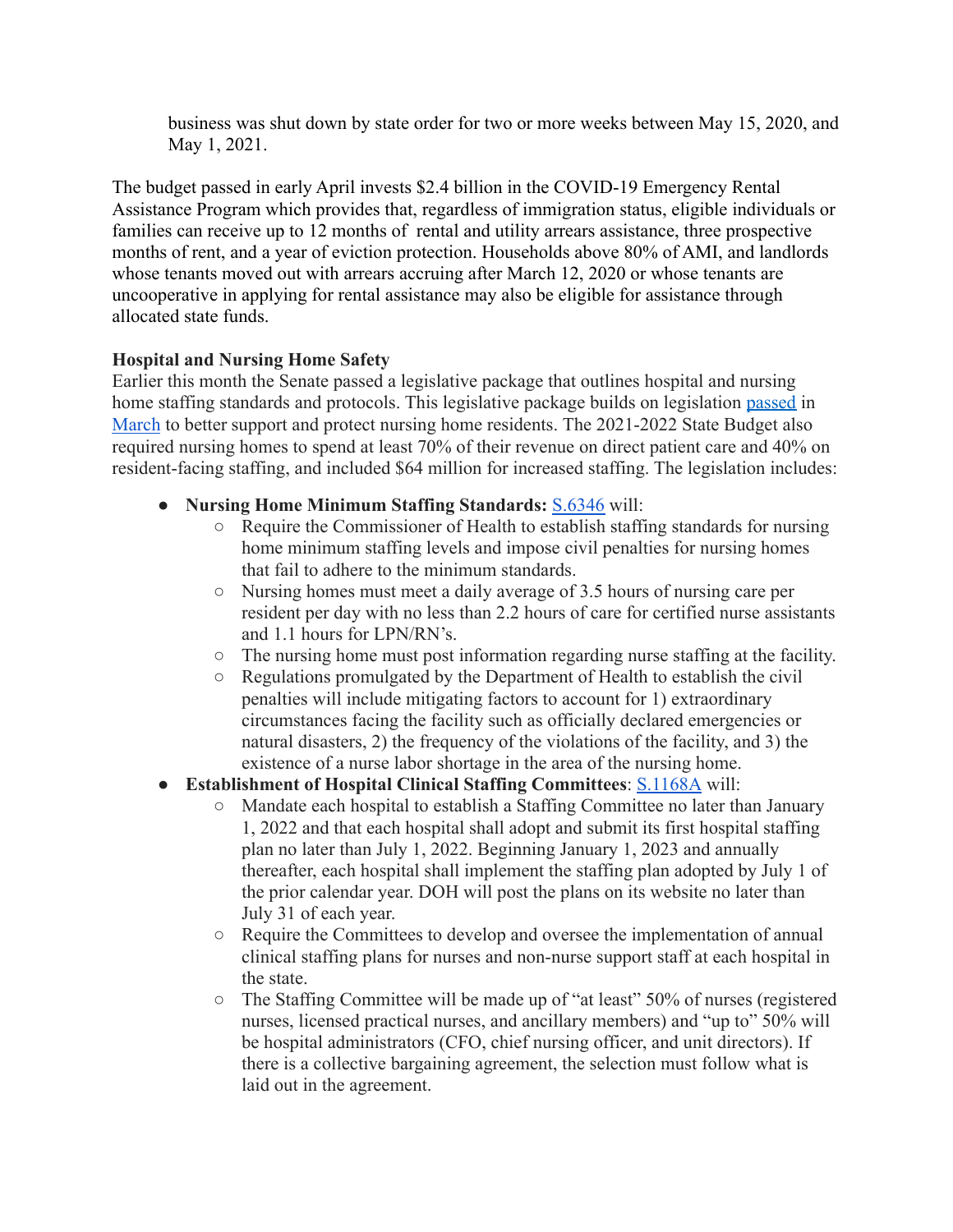business was shut down by state order for two or more weeks between May 15, 2020, and May 1, 2021.

The budget passed in early April invests \$2.4 billion in the COVID-19 Emergency Rental Assistance Program which provides that, regardless of immigration status, eligible individuals or families can receive up to 12 months of rental and utility arrears assistance, three prospective months of rent, and a year of eviction protection. Households above 80% of AMI, and landlords whose tenants moved out with arrears accruing after March 12, 2020 or whose tenants are uncooperative in applying for rental assistance may also be eligible for assistance through allocated state funds.

## **Hospital and Nursing Home Safety**

Earlier this month the Senate passed a legislative package that outlines hospital and nursing home staffing standards and protocols. This legislative package builds on legislation [passed](https://www.nysenate.gov/newsroom/press-releases/senate-majority-advance-legislation-improve-oversight-and-care-nursing-homes) i[n](https://www.nysenate.gov/newsroom/press-releases/senate-pass-legislation-repealing-immunity-protections-and-further-0) [March](https://www.nysenate.gov/newsroom/press-releases/senate-pass-legislation-repealing-immunity-protections-and-further-0) to better support and protect nursing home residents. The 2021-2022 State Budget also required nursing homes to spend at least 70% of their revenue on direct patient care and 40% on resident-facing staffing, and included \$64 million for increased staffing. The legislation includes:

- **Nursing Home Minimum Staffing Standards:** [S.6346](https://www.nysenate.gov/legislation/bills/2021/S6346) will:
	- Require the Commissioner of Health to establish staffing standards for nursing home minimum staffing levels and impose civil penalties for nursing homes that fail to adhere to the minimum standards.
	- Nursing homes must meet a daily average of 3.5 hours of nursing care per resident per day with no less than 2.2 hours of care for certified nurse assistants and 1.1 hours for LPN/RN's.
	- The nursing home must post information regarding nurse staffing at the facility.
	- Regulations promulgated by the Department of Health to establish the civil penalties will include mitigating factors to account for 1) extraordinary circumstances facing the facility such as officially declared emergencies or natural disasters, 2) the frequency of the violations of the facility, and 3) the existence of a nurse labor shortage in the area of the nursing home.

# **Establishment of Hospital Clinical Staffing Committees: [S.1168A](https://www.nysenate.gov/legislation/bills/2021/s1168) will:**

- Mandate each hospital to establish a Staffing Committee no later than January 1, 2022 and that each hospital shall adopt and submit its first hospital staffing plan no later than July 1, 2022. Beginning January 1, 2023 and annually thereafter, each hospital shall implement the staffing plan adopted by July 1 of the prior calendar year. DOH will post the plans on its website no later than July 31 of each year.
- Require the Committees to develop and oversee the implementation of annual clinical staffing plans for nurses and non-nurse support staff at each hospital in the state.
- The Staffing Committee will be made up of "at least" 50% of nurses (registered nurses, licensed practical nurses, and ancillary members) and "up to" 50% will be hospital administrators (CFO, chief nursing officer, and unit directors). If there is a collective bargaining agreement, the selection must follow what is laid out in the agreement.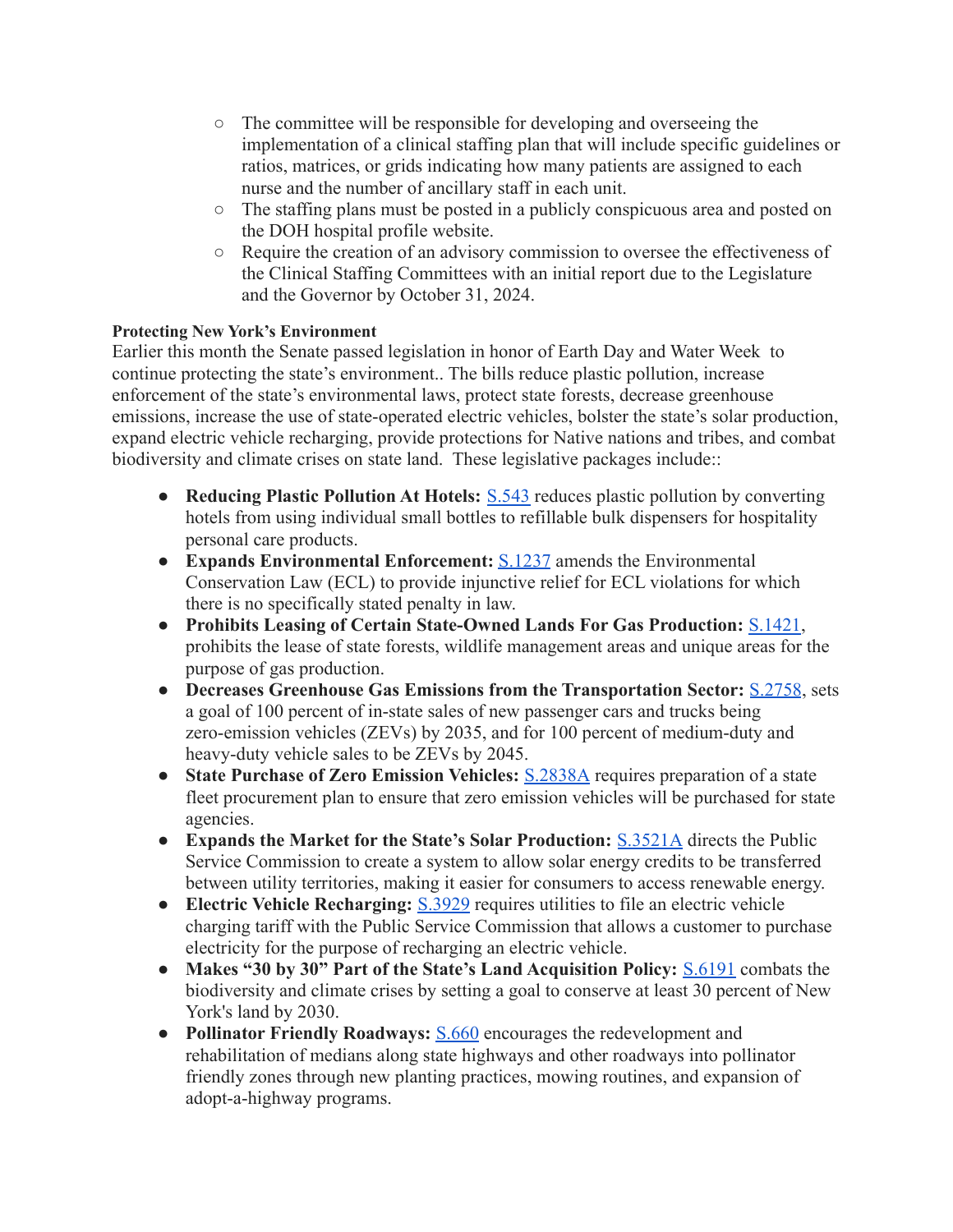- The committee will be responsible for developing and overseeing the implementation of a clinical staffing plan that will include specific guidelines or ratios, matrices, or grids indicating how many patients are assigned to each nurse and the number of ancillary staff in each unit.
- The staffing plans must be posted in a publicly conspicuous area and posted on the DOH hospital profile website.
- Require the creation of an advisory commission to oversee the effectiveness of the Clinical Staffing Committees with an initial report due to the Legislature and the Governor by October 31, 2024.

#### **Protecting New York's Environment**

Earlier this month the Senate passed legislation in honor of Earth Day and Water Week to continue protecting the state's environment.. The bills reduce plastic pollution, increase enforcement of the state's environmental laws, protect state forests, decrease greenhouse emissions, increase the use of state-operated electric vehicles, bolster the state's solar production, expand electric vehicle recharging, provide protections for Native nations and tribes, and combat biodiversity and climate crises on state land. These legislative packages include::

- **● Reducing Plastic Pollution At Hotels:** [S.543](https://www.nysenate.gov/legislation/bills/2021/s543) reduces plastic pollution by converting hotels from using individual small bottles to refillable bulk dispensers for hospitality personal care products.
- **● Expands Environmental Enforcement:** [S.1237](https://www.nysenate.gov/legislation/bills/2021/s1237) amends the Environmental Conservation Law (ECL) to provide injunctive relief for ECL violations for which there is no specifically stated penalty in law.
- **● Prohibits Leasing of Certain State-Owned Lands For Gas Production:** [S.1421,](https://www.nysenate.gov/legislation/bills/2021/s1421) prohibits the lease of state forests, wildlife management areas and unique areas for the purpose of gas production.
- **● Decreases Greenhouse Gas Emissions from the Transportation Sector:** [S.2758](https://www.nysenate.gov/legislation/bills/2021/s2758), sets a goal of 100 percent of in-state sales of new passenger cars and trucks being zero-emission vehicles (ZEVs) by 2035, and for 100 percent of medium-duty and heavy-duty vehicle sales to be ZEVs by 2045.
- **● State Purchase of Zero Emission Vehicles:** [S.2838A](https://www.nysenate.gov/legislation/bills/2021/s2838/amendment/original) requires preparation of a state fleet procurement plan to ensure that zero emission vehicles will be purchased for state agencies.
- **● Expands the Market for the State's Solar Production:** [S.3521A](https://www.nysenate.gov/legislation/bills/2021/s3521/amendment/a) directs the Public Service Commission to create a system to allow solar energy credits to be transferred between utility territories, making it easier for consumers to access renewable energy.
- **● Electric Vehicle Recharging:** [S.3929](https://www.nysenate.gov/legislation/bills/2021/s3929) requires utilities to file an electric vehicle charging tariff with the Public Service Commission that allows a customer to purchase electricity for the purpose of recharging an electric vehicle.
- **● Makes "30 by 30" Part of the State's Land Acquisition Policy:** [S.6191](https://www.nysenate.gov/legislation/bills/2021/s6191) combats the biodiversity and climate crises by setting a goal to conserve at least 30 percent of New York's land by 2030.
- **● Pollinator Friendly Roadways:** [S.660](https://www.nysenate.gov/legislation/bills/2021/s660) encourages the redevelopment and rehabilitation of medians along state highways and other roadways into pollinator friendly zones through new planting practices, mowing routines, and expansion of adopt-a-highway programs.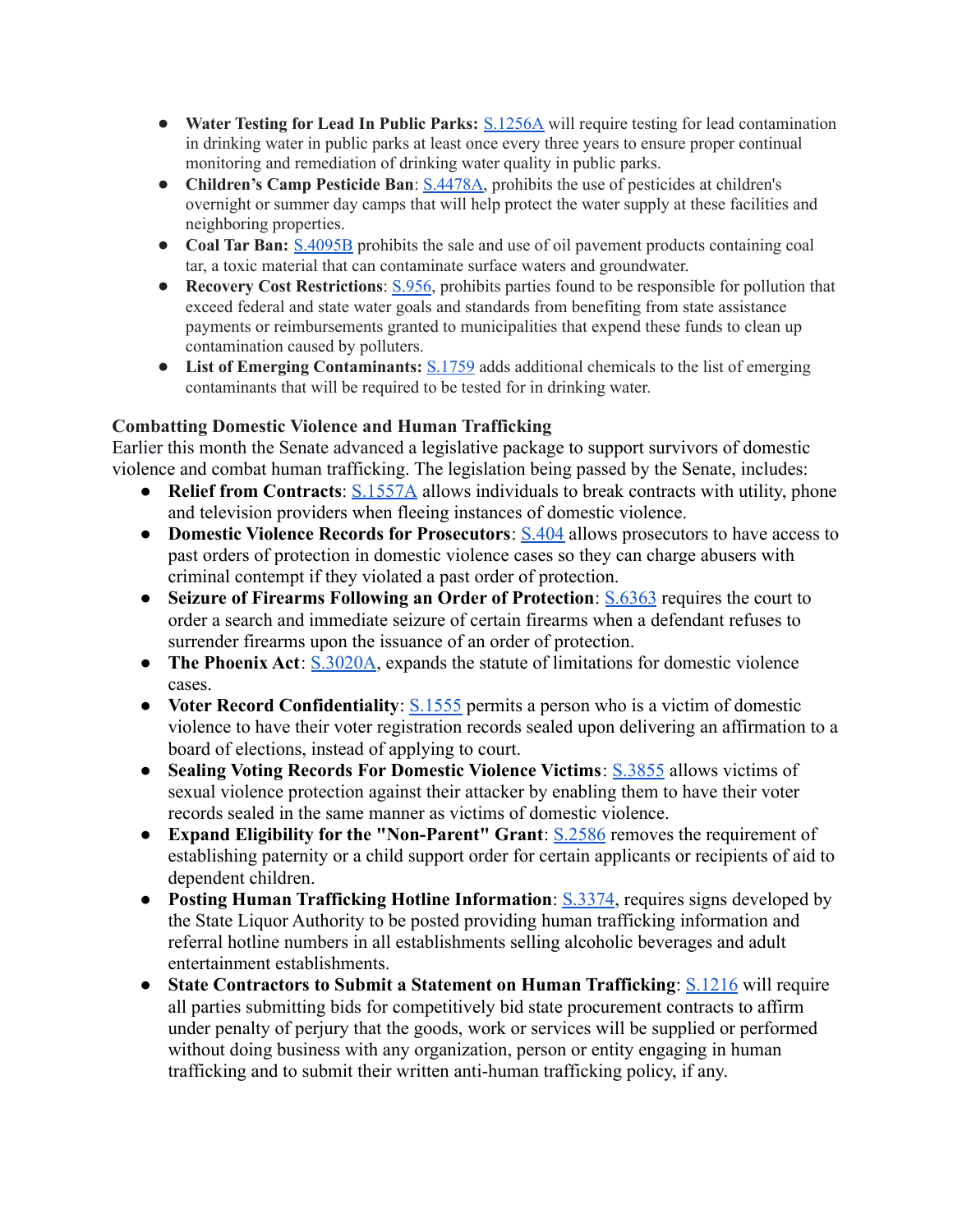- **● Water Testing for Lead In Public Parks:** [S.1256A](https://www.nysenate.gov/legislation/bills/2021/s1256) will require testing for lead contamination in drinking water in public parks at least once every three years to ensure proper continual monitoring and remediation of drinking water quality in public parks.
- **Children's Camp Pesticide Ban**: [S.4478A,](https://www.nysenate.gov/legislation/bills/2021/s4478/amendment/a) prohibits the use of pesticides at children's overnight or summer day camps that will help protect the water supply at these facilities and neighboring properties.
- **Coal Tar Ban:** [S.4095B](https://www.nysenate.gov/legislation/bills/2021/s4095/amendment/b) prohibits the sale and use of oil pavement products containing coal tar, a toxic material that can contaminate surface waters and groundwater.
- **Recovery Cost Restrictions**: [S.956](https://www.nysenate.gov/legislation/bills/2021/s956), prohibits parties found to be responsible for pollution that exceed federal and state water goals and standards from benefiting from state assistance payments or reimbursements granted to municipalities that expend these funds to clean up contamination caused by polluters.
- **List of Emerging Contaminants:** [S.1759](https://www.nysenate.gov/legislation/bills/2021/s1759) adds additional chemicals to the list of emerging contaminants that will be required to be tested for in drinking water.

## **Combatting Domestic Violence and Human Trafficking**

Earlier this month the Senate advanced a legislative package to support survivors of domestic violence and combat human trafficking. The legislation being passed by the Senate, includes:

- **Relief from Contracts**: [S.1557A](https://www.nysenate.gov/legislation/bills/2021/s1557/amendment/a) allows individuals to break contracts with utility, phone and television providers when fleeing instances of domestic violence.
- **Domestic Violence Records for Prosecutors**: [S.404](https://www.nysenate.gov/legislation/bills/2021/s404) allows prosecutors to have access to past orders of protection in domestic violence cases so they can charge abusers with criminal contempt if they violated a past order of protection.
- **Seizure of Firearms Following an Order of Protection**: [S.6363](https://www.nysenate.gov/legislation/bills/2021/s6363) requires the court to order a search and immediate seizure of certain firearms when a defendant refuses to surrender firearms upon the issuance of an order of protection.
- **The Phoenix Act**: [S.3020A](https://www.nysenate.gov/legislation/bills/2021/s3020/amendment/a), expands the statute of limitations for domestic violence cases.
- **Voter Record Confidentiality**: [S.1555](https://www.nysenate.gov/legislation/bills/2021/s1555) permits a person who is a victim of domestic violence to have their voter registration records sealed upon delivering an affirmation to a board of elections, instead of applying to court.
- **Sealing Voting Records For Domestic Violence Victims**: [S.3855](https://www.nysenate.gov/legislation/bills/2021/s3855) allows victims of sexual violence protection against their attacker by enabling them to have their voter records sealed in the same manner as victims of domestic violence.
- **Expand Eligibility for the "Non-Parent" Grant**: [S.2586](https://www.nysenate.gov/legislation/bills/2021/s2586) removes the requirement of establishing paternity or a child support order for certain applicants or recipients of aid to dependent children.
- **Posting Human Trafficking Hotline Information**: [S.3374](https://www.nysenate.gov/legislation/bills/2021/s3374), requires signs developed by the State Liquor Authority to be posted providing human trafficking information and referral hotline numbers in all establishments selling alcoholic beverages and adult entertainment establishments.
- **State Contractors to Submit a Statement on Human Trafficking**: [S.1216](https://www.nysenate.gov/legislation/bills/2021/s1216) will require all parties submitting bids for competitively bid state procurement contracts to affirm under penalty of perjury that the goods, work or services will be supplied or performed without doing business with any organization, person or entity engaging in human trafficking and to submit their written anti-human trafficking policy, if any.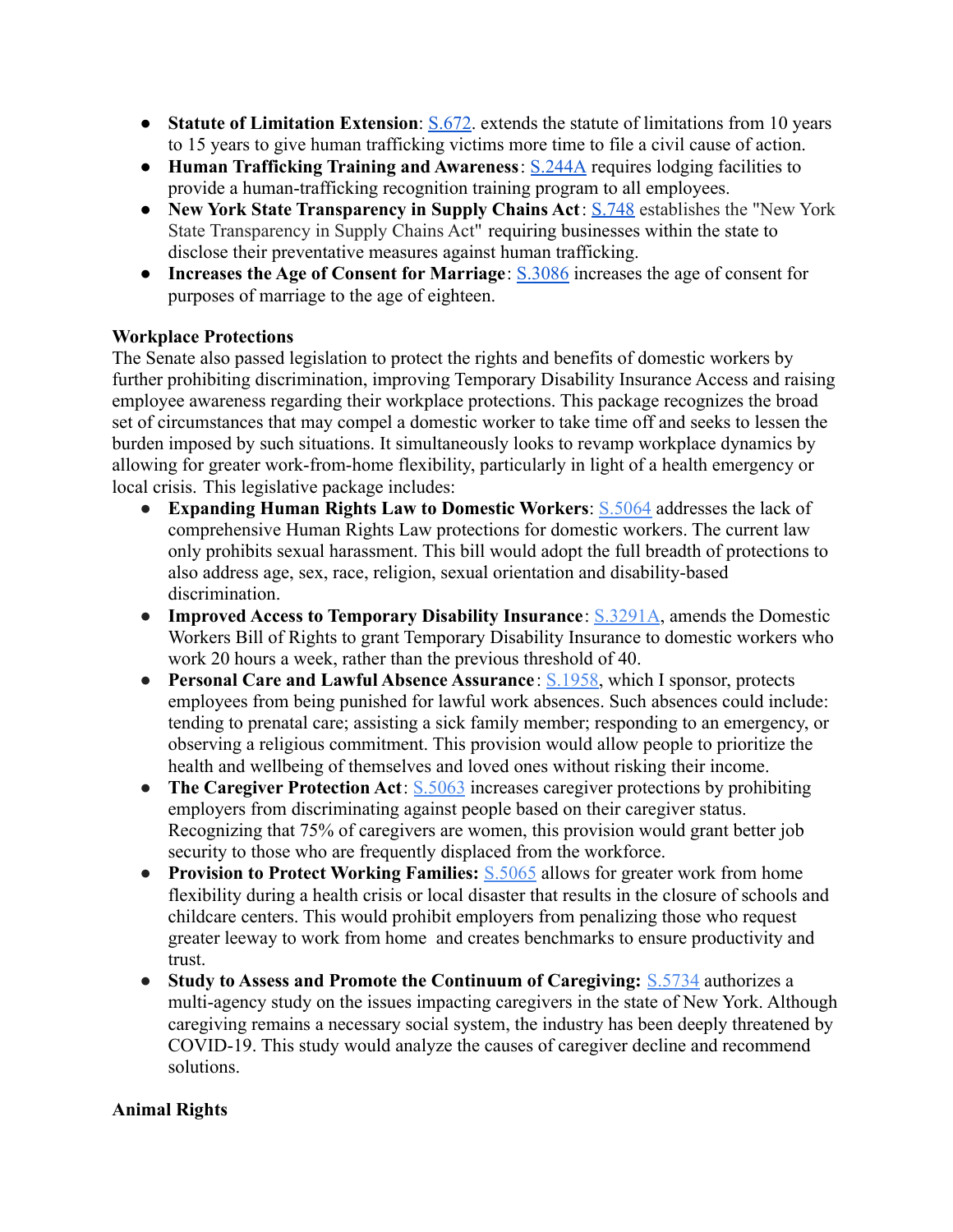- **Statute of Limitation Extension:** [S.672](https://www.nysenate.gov/legislation/bills/2021/s672). extends the statute of limitations from 10 years to 15 years to give human trafficking victims more time to file a civil cause of action.
- **Human Trafficking Training and Awareness**: [S.244A](https://www.nysenate.gov/legislation/bills/2021/s244/amendment/a) requires lodging facilities to provide a human-trafficking recognition training program to all employees.
- **New York State Transparency in Supply Chains Act**: [S.748](https://www.nysenate.gov/legislation/bills/2021/s748) establishes the "New York State Transparency in Supply Chains Act" requiring businesses within the state to disclose their preventative measures against human trafficking.
- **Increases the Age of Consent for Marriage**: [S.3086](https://www.nysenate.gov/legislation/bills/2021/s3086) increases the age of consent for purposes of marriage to the age of eighteen.

## **Workplace Protections**

The Senate also passed legislation to protect the rights and benefits of domestic workers by further prohibiting discrimination, improving Temporary Disability Insurance Access and raising employee awareness regarding their workplace protections. This package recognizes the broad set of circumstances that may compel a domestic worker to take time off and seeks to lessen the burden imposed by such situations. It simultaneously looks to revamp workplace dynamics by allowing for greater work-from-home flexibility, particularly in light of a health emergency or local crisis. This legislative package includes:

- **Expanding Human Rights Law to Domestic Workers**: [S.5064](https://www.nysenate.gov/legislation/bills/2021/S5064) addresses the lack of comprehensive Human Rights Law protections for domestic workers. The current law only prohibits sexual harassment. This bill would adopt the full breadth of protections to also address age, sex, race, religion, sexual orientation and disability-based discrimination.
- **Improved Access to Temporary Disability Insurance**: [S.3291A](https://www.nysenate.gov/legislation/bills/2021/s3291), amends the Domestic Workers Bill of Rights to grant Temporary Disability Insurance to domestic workers who work 20 hours a week, rather than the previous threshold of 40.
- **Personal Care and Lawful Absence Assurance** : [S.1958,](https://www.nysenate.gov/legislation/bills/2021/s1958) which I sponsor, protects employees from being punished for lawful work absences. Such absences could include: tending to prenatal care; assisting a sick family member; responding to an emergency, or observing a religious commitment. This provision would allow people to prioritize the health and wellbeing of themselves and loved ones without risking their income.
- **The Caregiver Protection Act**: **[S.5063](https://www.nysenate.gov/legislation/bills/2021/s5063)** increases caregiver protections by prohibiting employers from discriminating against people based on their caregiver status. Recognizing that 75% of caregivers are women, this provision would grant better job security to those who are frequently displaced from the workforce.
- **Provision to Protect Working Families:** [S.5065](https://www.nysenate.gov/legislation/bills/2021/S5065) allows for greater work from home flexibility during a health crisis or local disaster that results in the closure of schools and childcare centers. This would prohibit employers from penalizing those who request greater leeway to work from home and creates benchmarks to ensure productivity and trust.
- **Study to Assess and Promote the Continuum of Caregiving: [S.5734](https://www.nysenate.gov/legislation/bills/2021/s5734) authorizes a** multi-agency study on the issues impacting caregivers in the state of New York. Although caregiving remains a necessary social system, the industry has been deeply threatened by COVID-19. This study would analyze the causes of caregiver decline and recommend solutions.

## **Animal Rights**